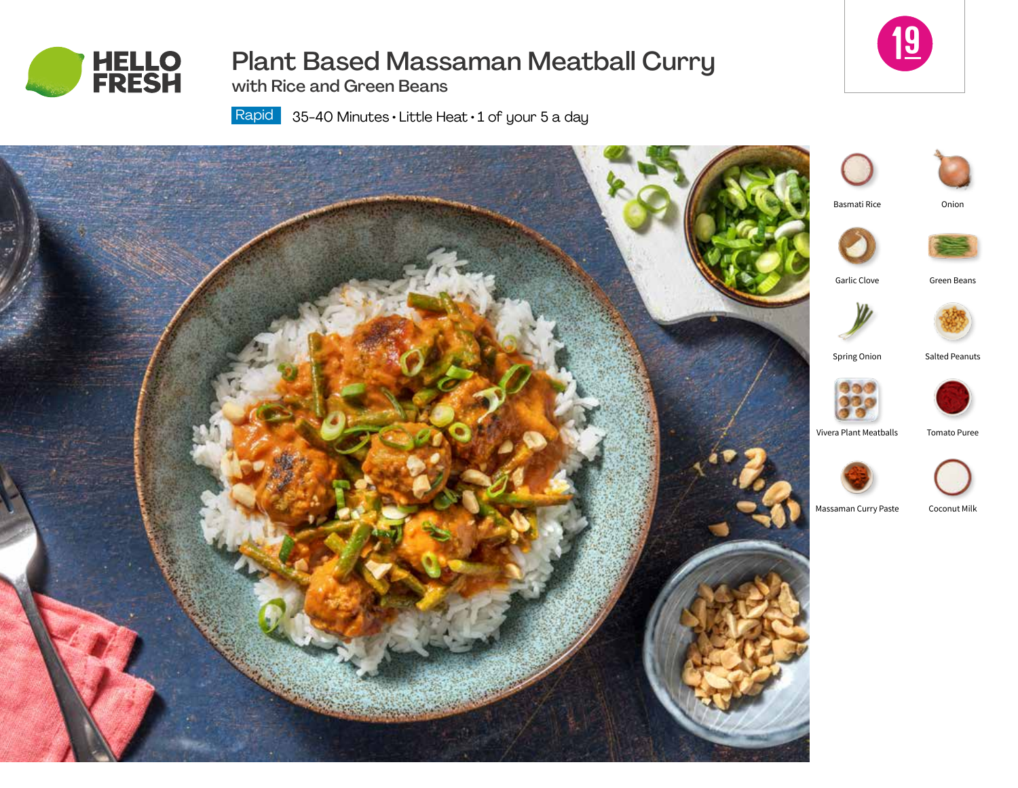

# Plant Based Massaman Meatball Curry

with Rice and Green Beans

Rapid | 35-40 Minutes • Little Heat • 1 of your 5 a day